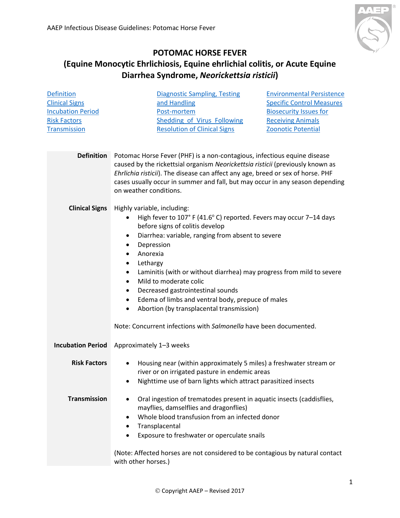

## **POTOMAC HORSE FEVER**

## **(Equine Monocytic Ehrlichiosis, Equine ehrlichial colitis, or Acute Equine [Diarrhea Syndrome,](#page-0-0)** *Neorickettsia risticii***)**

<span id="page-0-4"></span><span id="page-0-3"></span><span id="page-0-2"></span><span id="page-0-1"></span><span id="page-0-0"></span>

| <b>Definition</b>        | <b>Diagnostic Sampling, Testing</b><br><b>Environmental Persistence</b>                                                                                                                                                                                                                                                                                  |  |  |  |  |
|--------------------------|----------------------------------------------------------------------------------------------------------------------------------------------------------------------------------------------------------------------------------------------------------------------------------------------------------------------------------------------------------|--|--|--|--|
| <b>Clinical Signs</b>    | and Handling<br><b>Specific Control Measures</b>                                                                                                                                                                                                                                                                                                         |  |  |  |  |
| <b>Incubation Period</b> | <b>Biosecurity Issues for</b><br>Post-mortem                                                                                                                                                                                                                                                                                                             |  |  |  |  |
| <b>Risk Factors</b>      | <b>Shedding of Virus Following</b><br><b>Receiving Animals</b>                                                                                                                                                                                                                                                                                           |  |  |  |  |
| <b>Transmission</b>      | <b>Resolution of Clinical Signs</b><br>Zoonotic Potential                                                                                                                                                                                                                                                                                                |  |  |  |  |
| <b>Definition</b>        | Potomac Horse Fever (PHF) is a non-contagious, infectious equine disease<br>caused by the rickettsial organism Neorickettsia risticii (previously known as<br>Ehrlichia risticii). The disease can affect any age, breed or sex of horse. PHF<br>cases usually occur in summer and fall, but may occur in any season depending<br>on weather conditions. |  |  |  |  |
|                          |                                                                                                                                                                                                                                                                                                                                                          |  |  |  |  |
| <b>Clinical Signs</b>    | Highly variable, including:                                                                                                                                                                                                                                                                                                                              |  |  |  |  |
|                          | High fever to 107° F (41.6° C) reported. Fevers may occur 7-14 days                                                                                                                                                                                                                                                                                      |  |  |  |  |
|                          | before signs of colitis develop<br>Diarrhea: variable, ranging from absent to severe<br>$\bullet$                                                                                                                                                                                                                                                        |  |  |  |  |
|                          | Depression<br>$\bullet$                                                                                                                                                                                                                                                                                                                                  |  |  |  |  |
|                          | Anorexia<br>$\bullet$                                                                                                                                                                                                                                                                                                                                    |  |  |  |  |
|                          | Lethargy<br>$\bullet$                                                                                                                                                                                                                                                                                                                                    |  |  |  |  |
|                          | Laminitis (with or without diarrhea) may progress from mild to severe<br>$\bullet$                                                                                                                                                                                                                                                                       |  |  |  |  |
|                          | Mild to moderate colic<br>$\bullet$                                                                                                                                                                                                                                                                                                                      |  |  |  |  |
|                          | Decreased gastrointestinal sounds<br>$\bullet$                                                                                                                                                                                                                                                                                                           |  |  |  |  |
|                          | Edema of limbs and ventral body, prepuce of males<br>$\bullet$                                                                                                                                                                                                                                                                                           |  |  |  |  |
|                          | Abortion (by transplacental transmission)<br>$\bullet$                                                                                                                                                                                                                                                                                                   |  |  |  |  |
|                          | Note: Concurrent infections with Salmonella have been documented.                                                                                                                                                                                                                                                                                        |  |  |  |  |
| <b>Incubation Period</b> | Approximately 1-3 weeks                                                                                                                                                                                                                                                                                                                                  |  |  |  |  |
| <b>Risk Factors</b>      | Housing near (within approximately 5 miles) a freshwater stream or                                                                                                                                                                                                                                                                                       |  |  |  |  |
|                          | river or on irrigated pasture in endemic areas                                                                                                                                                                                                                                                                                                           |  |  |  |  |
|                          | Nighttime use of barn lights which attract parasitized insects                                                                                                                                                                                                                                                                                           |  |  |  |  |
|                          |                                                                                                                                                                                                                                                                                                                                                          |  |  |  |  |
| <b>Transmission</b>      | Oral ingestion of trematodes present in aquatic insects (caddisflies,<br>٠                                                                                                                                                                                                                                                                               |  |  |  |  |
|                          | mayflies, damselflies and dragonflies)                                                                                                                                                                                                                                                                                                                   |  |  |  |  |
|                          | Whole blood transfusion from an infected donor<br>٠                                                                                                                                                                                                                                                                                                      |  |  |  |  |
|                          | Transplacental<br>٠                                                                                                                                                                                                                                                                                                                                      |  |  |  |  |
|                          | Exposure to freshwater or operculate snails<br>$\bullet$                                                                                                                                                                                                                                                                                                 |  |  |  |  |
|                          |                                                                                                                                                                                                                                                                                                                                                          |  |  |  |  |
|                          | with other horses.)                                                                                                                                                                                                                                                                                                                                      |  |  |  |  |
|                          | (Note: Affected horses are not considered to be contagious by natural contact                                                                                                                                                                                                                                                                            |  |  |  |  |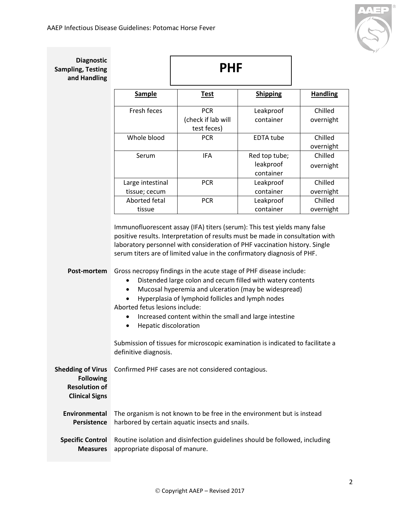

| <b>Diagnostic</b><br><b>Sampling, Testing</b><br>and Handling                                 |                                                                                  | <b>PHF</b>                                                                                                                                                                                                                                                                                                                                                                                                                                                                                                                                                                                                                                                                                                        |                                         |                      |
|-----------------------------------------------------------------------------------------------|----------------------------------------------------------------------------------|-------------------------------------------------------------------------------------------------------------------------------------------------------------------------------------------------------------------------------------------------------------------------------------------------------------------------------------------------------------------------------------------------------------------------------------------------------------------------------------------------------------------------------------------------------------------------------------------------------------------------------------------------------------------------------------------------------------------|-----------------------------------------|----------------------|
|                                                                                               | <b>Sample</b>                                                                    | <b>Test</b>                                                                                                                                                                                                                                                                                                                                                                                                                                                                                                                                                                                                                                                                                                       | <b>Shipping</b>                         | <b>Handling</b>      |
|                                                                                               | Fresh feces                                                                      | <b>PCR</b><br>(check if lab will<br>test feces)                                                                                                                                                                                                                                                                                                                                                                                                                                                                                                                                                                                                                                                                   | Leakproof<br>container                  | Chilled<br>overnight |
|                                                                                               | Whole blood                                                                      | <b>PCR</b>                                                                                                                                                                                                                                                                                                                                                                                                                                                                                                                                                                                                                                                                                                        | <b>EDTA tube</b>                        | Chilled<br>overnight |
|                                                                                               | Serum                                                                            | <b>IFA</b>                                                                                                                                                                                                                                                                                                                                                                                                                                                                                                                                                                                                                                                                                                        | Red top tube;<br>leakproof<br>container | Chilled<br>overnight |
|                                                                                               | Large intestinal<br>tissue; cecum                                                | <b>PCR</b>                                                                                                                                                                                                                                                                                                                                                                                                                                                                                                                                                                                                                                                                                                        | Leakproof<br>container                  | Chilled<br>overnight |
|                                                                                               | Aborted fetal<br>tissue                                                          | <b>PCR</b>                                                                                                                                                                                                                                                                                                                                                                                                                                                                                                                                                                                                                                                                                                        | Leakproof<br>container                  | Chilled<br>overnight |
| Post-mortem                                                                                   | Aborted fetus lesions include:<br>Hepatic discoloration<br>definitive diagnosis. | Immunofluorescent assay (IFA) titers (serum): This test yields many false<br>positive results. Interpretation of results must be made in consultation with<br>laboratory personnel with consideration of PHF vaccination history. Single<br>serum titers are of limited value in the confirmatory diagnosis of PHF.<br>Gross necropsy findings in the acute stage of PHF disease include:<br>Distended large colon and cecum filled with watery contents<br>Mucosal hyperemia and ulceration (may be widespread)<br>Hyperplasia of lymphoid follicles and lymph nodes<br>Increased content within the small and large intestine<br>Submission of tissues for microscopic examination is indicated to facilitate a |                                         |                      |
| <b>Shedding of Virus</b><br><b>Following</b><br><b>Resolution of</b><br><b>Clinical Signs</b> |                                                                                  | Confirmed PHF cases are not considered contagious.                                                                                                                                                                                                                                                                                                                                                                                                                                                                                                                                                                                                                                                                |                                         |                      |
| Environmental<br><b>Persistence</b>                                                           |                                                                                  | The organism is not known to be free in the environment but is instead<br>harbored by certain aquatic insects and snails.                                                                                                                                                                                                                                                                                                                                                                                                                                                                                                                                                                                         |                                         |                      |
| <b>Specific Control</b><br><b>Measures</b>                                                    | appropriate disposal of manure.                                                  | Routine isolation and disinfection guidelines should be followed, including                                                                                                                                                                                                                                                                                                                                                                                                                                                                                                                                                                                                                                       |                                         |                      |